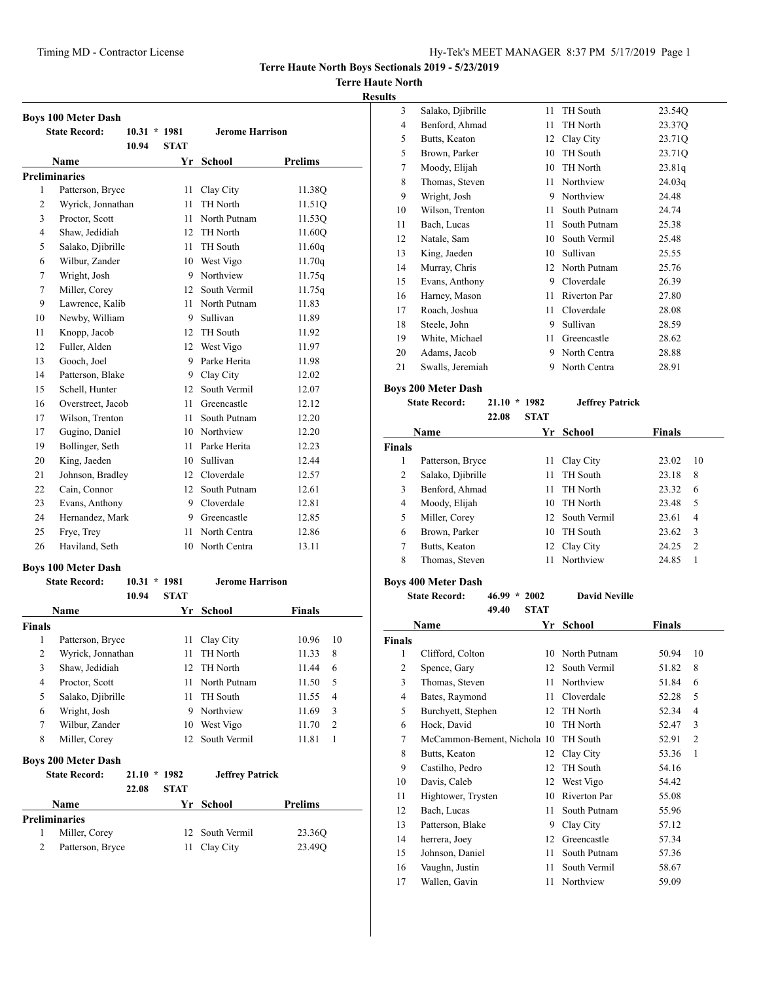## **Terre Haute North**

#### **Results**

| <b>Boys 100 Meter Dash</b> |                      |                |             |                        |                |  |  |
|----------------------------|----------------------|----------------|-------------|------------------------|----------------|--|--|
|                            | <b>State Record:</b> | $10.31 * 1981$ |             | <b>Jerome Harrison</b> |                |  |  |
|                            |                      | 10.94          | <b>STAT</b> |                        |                |  |  |
|                            | Name                 |                | Yr          | <b>School</b>          | <b>Prelims</b> |  |  |
|                            | <b>Preliminaries</b> |                |             |                        |                |  |  |
| 1                          | Patterson, Bryce     |                | 11          | Clay City              | 11.38Q         |  |  |
| $\overline{2}$             | Wyrick, Jonnathan    |                | 11          | TH North               | 11.51Q         |  |  |
| 3                          | Proctor, Scott       |                | 11          | North Putnam           | 11.53Q         |  |  |
| 4                          | Shaw, Jedidiah       |                | 12          | <b>TH</b> North        | 11.60Q         |  |  |
| 5                          | Salako, Djibrille    |                | 11          | TH South               | 11.60q         |  |  |
| 6                          | Wilbur, Zander       |                | 10          | West Vigo              | 11.70q         |  |  |
| 7                          | Wright, Josh         |                | 9           | Northview              | 11.75q         |  |  |
| 7                          | Miller, Corey        |                | 12          | South Vermil           | 11.75q         |  |  |
| 9                          | Lawrence, Kalib      |                | 11          | North Putnam           | 11.83          |  |  |
| 10                         | Newby, William       |                | 9           | Sullivan               | 11.89          |  |  |
| 11                         | Knopp, Jacob         |                |             | 12 TH South            | 11.92          |  |  |
| 12                         | Fuller, Alden        |                |             | 12 West Vigo           | 11.97          |  |  |
| 13                         | Gooch, Joel          |                | 9           | Parke Herita           | 11.98          |  |  |
| 14                         | Patterson, Blake     |                | 9           | Clay City              | 12.02          |  |  |
| 15                         | Schell, Hunter       |                | 12          | South Vermil           | 12.07          |  |  |
| 16                         | Overstreet, Jacob    |                | 11          | Greencastle            | 12.12          |  |  |
| 17                         | Wilson, Trenton      |                | 11          | South Putnam           | 12.20          |  |  |
| 17                         | Gugino, Daniel       |                |             | 10 Northview           | 12.20          |  |  |
| 19                         | Bollinger, Seth      |                | 11          | Parke Herita           | 12.23          |  |  |
| 20                         | King, Jaeden         |                | 10          | Sullivan               | 12.44          |  |  |
| 21                         | Johnson, Bradley     |                |             | 12 Cloverdale          | 12.57          |  |  |
| 22                         | Cain, Connor         |                |             | 12 South Putnam        | 12.61          |  |  |
| 23                         | Evans, Anthony       |                | 9           | Cloverdale             | 12.81          |  |  |
| 24                         | Hernandez, Mark      |                |             | 9 Greencastle          | 12.85          |  |  |
| 25                         | Frye, Trey           |                | 11          | North Centra           | 12.86          |  |  |
| 26                         | Haviland, Seth       |                | 10          | North Centra           | 13.11          |  |  |

# **Boys 100 Meter Dash**

| <b>State Record:</b> |                            | 10.31<br>10.94 | 1981<br><b>Jerome Harrison</b><br>$\star$<br><b>STAT</b> |                        |               |                |
|----------------------|----------------------------|----------------|----------------------------------------------------------|------------------------|---------------|----------------|
|                      | <b>Name</b>                |                | Yr                                                       | School                 | <b>Finals</b> |                |
| <b>Finals</b>        |                            |                |                                                          |                        |               |                |
| 1                    | Patterson, Bryce           |                | 11                                                       | Clay City              | 10.96         | 10             |
| 2                    | Wyrick, Jonnathan          |                | 11                                                       | TH North               | 11.33         | 8              |
| 3                    | Shaw, Jedidiah             |                | 12                                                       | <b>TH North</b>        | 11.44         | 6              |
| 4                    | Proctor, Scott             |                | 11                                                       | North Putnam           | 11.50         | 5              |
| 5                    | Salako, Djibrille          |                | 11                                                       | <b>TH</b> South        | 11.55         | 4              |
| 6                    | Wright, Josh               |                | 9                                                        | Northview              | 11.69         | 3              |
| 7                    | Wilbur, Zander             |                | 10                                                       | West Vigo              | 11.70         | $\overline{c}$ |
| 8                    | Miller, Corey              |                | 12                                                       | South Vermil           | 11.81         | 1              |
|                      | <b>Boys 200 Meter Dash</b> |                |                                                          |                        |               |                |
|                      | <b>State Record:</b>       | 21.10<br>÷     | 1982                                                     | <b>Jeffrey Patrick</b> |               |                |

|                      | 22.08 | <b>STAT</b> |                 |                    |
|----------------------|-------|-------------|-----------------|--------------------|
| Name                 |       |             | Yr School       | <b>Prelims</b>     |
| <b>Preliminaries</b> |       |             |                 |                    |
| Miller, Corey        |       |             | 12 South Vermil | 23.36Q             |
| Patterson, Bryce     |       |             | 11 Clay City    | 23.49 <sub>O</sub> |

| 3  | Salako, Djibrille | 11 | TH South     | 23.54Q |
|----|-------------------|----|--------------|--------|
| 4  | Benford, Ahmad    | 11 | TH North     | 23.37Q |
| 5  | Butts, Keaton     | 12 | Clay City    | 23.71Q |
| 5  | Brown, Parker     | 10 | TH South     | 23.71Q |
| 7  | Moody, Elijah     | 10 | TH North     | 23.81q |
| 8  | Thomas, Steven    | 11 | Northview    | 24.03q |
| 9  | Wright, Josh      | 9  | Northview    | 24.48  |
| 10 | Wilson, Trenton   | 11 | South Putnam | 24.74  |
| 11 | Bach, Lucas       | 11 | South Putnam | 25.38  |
| 12 | Natale, Sam       | 10 | South Vermil | 25.48  |
| 13 | King, Jaeden      | 10 | Sullivan     | 25.55  |
| 14 | Murray, Chris     | 12 | North Putnam | 25.76  |
| 15 | Evans, Anthony    | 9  | Cloverdale   | 26.39  |
| 16 | Harney, Mason     | 11 | Riverton Par | 27.80  |
| 17 | Roach, Joshua     | 11 | Cloverdale   | 28.08  |
| 18 | Steele, John      | 9  | Sullivan     | 28.59  |
| 19 | White, Michael    | 11 | Greencastle  | 28.62  |
| 20 | Adams, Jacob      | 9  | North Centra | 28.88  |
| 21 | Swalls, Jeremiah  | 9  | North Centra | 28.91  |
|    |                   |    |              |        |

## **Boys 200 Meter Dash**

```
State Record: 21.10 * 1982 Jeffrey Patrick
 22.08 STAT
```

| Name   |                   |    | Yr School       | <b>Finals</b> |                |
|--------|-------------------|----|-----------------|---------------|----------------|
| Finals |                   |    |                 |               |                |
|        | Patterson, Bryce  | 11 | Clay City       | 23.02         | -10            |
| 2      | Salako, Djibrille | 11 | TH South        | 23.18         | 8              |
| 3      | Benford, Ahmad    | 11 | TH North        | 23.32         | 6              |
| 4      | Moody, Elijah     | 10 | TH North        | 23.48         | 5              |
| 5      | Miller, Corey     |    | 12 South Vermil | 23.61         | 4              |
| 6      | Brown, Parker     | 10 | <b>TH</b> South | 23.62         | 3              |
| 7      | Butts, Keaton     |    | 12 Clay City    | 24.25         | $\overline{2}$ |
| 8      | Thomas, Steven    | 11 | Northview       | 24.85         | 1              |
|        |                   |    |                 |               |                |

# **Boys 400 Meter Dash**

| <b>State Record:</b> | $46.99 * 2002$ |             | <b>David Neville</b> |
|----------------------|----------------|-------------|----------------------|
|                      | 40. JA         | <b>CTAT</b> |                      |

|                | 49.40<br>SIAI               |    |                     |        |                |
|----------------|-----------------------------|----|---------------------|--------|----------------|
|                | Name                        | Yr | <b>School</b>       | Finals |                |
| <b>Finals</b>  |                             |    |                     |        |                |
| 1              | Clifford, Colton            | 10 | North Putnam        | 50.94  | 10             |
| 2              | Spence, Gary                | 12 | South Vermil        | 51.82  | 8              |
| 3              | Thomas, Steven              | 11 | Northview           | 51.84  | 6              |
| $\overline{4}$ | Bates, Raymond              | 11 | Cloverdale          | 52.28  | 5              |
| 5              | Burchyett, Stephen          | 12 | TH North            | 52.34  | 4              |
| 6              | Hock, David                 | 10 | TH North            | 52.47  | 3              |
| 7              | McCammon-Bement, Nichola 10 |    | TH South            | 52.91  | $\overline{2}$ |
| 8              | Butts, Keaton               | 12 | Clay City           | 53.36  | 1              |
| 9              | Castilho, Pedro             | 12 | TH South            | 54.16  |                |
| 10             | Davis, Caleb                | 12 | West Vigo           | 54.42  |                |
| 11             | Hightower, Trysten          | 10 | <b>Riverton Par</b> | 55.08  |                |
| 12             | Bach, Lucas                 | 11 | South Putnam        | 55.96  |                |
| 13             | Patterson, Blake            | 9  | Clay City           | 57.12  |                |
| 14             | herrera, Joey               | 12 | Greencastle         | 57.34  |                |
| 15             | Johnson, Daniel             | 11 | South Putnam        | 57.36  |                |
| 16             | Vaughn, Justin              | 11 | South Vermil        | 58.67  |                |
| 17             | Wallen, Gavin               | 11 | Northview           | 59.09  |                |
|                |                             |    |                     |        |                |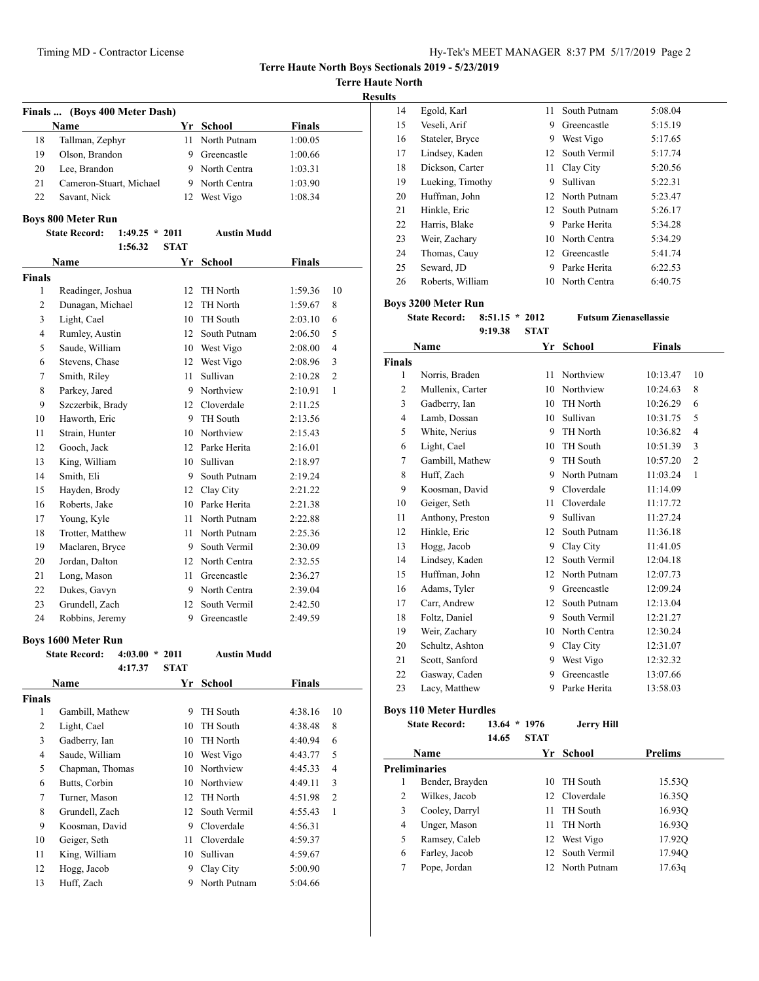**Terre Haute North**

**Results**

|                                                                | Finals  (Boys 400 Meter Dash) |             |                 |               |                |  |  |
|----------------------------------------------------------------|-------------------------------|-------------|-----------------|---------------|----------------|--|--|
| Yr School<br><b>Finals</b><br>Name                             |                               |             |                 |               |                |  |  |
| 18                                                             | Tallman, Zephyr               | 11          | North Putnam    | 1:00.05       |                |  |  |
| 19                                                             | Olson, Brandon                |             | 9 Greencastle   | 1:00.66       |                |  |  |
| 20                                                             | Lee, Brandon                  |             | 9 North Centra  | 1:03.31       |                |  |  |
| 21                                                             | Cameron-Stuart, Michael       |             | 9 North Centra  | 1:03.90       |                |  |  |
| 22                                                             | Savant, Nick                  | 12          | West Vigo       | 1:08.34       |                |  |  |
|                                                                | <b>Boys 800 Meter Run</b>     |             |                 |               |                |  |  |
| <b>State Record:</b><br><b>Austin Mudd</b><br>$1:49.25 * 2011$ |                               |             |                 |               |                |  |  |
|                                                                | 1:56.32                       | <b>STAT</b> |                 |               |                |  |  |
|                                                                | Name                          | Yr          | School          | <b>Finals</b> |                |  |  |
| <b>Finals</b>                                                  |                               |             |                 |               |                |  |  |
| 1                                                              | Readinger, Joshua             | 12          | TH North        | 1:59.36       | 10             |  |  |
| $\overline{c}$                                                 | Dunagan, Michael              | 12          | TH North        | 1:59.67       | 8              |  |  |
| 3                                                              | Light, Cael                   | 10          | TH South        | 2:03.10       | 6              |  |  |
| $\overline{4}$                                                 | Rumley, Austin                | 12          | South Putnam    | 2:06.50       | 5              |  |  |
| 5                                                              | Saude, William                |             | 10 West Vigo    | 2:08.00       | 4              |  |  |
| 6                                                              | Stevens, Chase                |             | 12 West Vigo    | 2:08.96       | 3              |  |  |
| 7                                                              | Smith, Riley                  | 11          | Sullivan        | 2:10.28       | $\overline{c}$ |  |  |
| 8                                                              | Parkey, Jared                 |             | 9 Northview     | 2:10.91       | 1              |  |  |
| 9                                                              | Szczerbik, Brady              |             | 12 Cloverdale   | 2:11.25       |                |  |  |
| 10                                                             | Haworth, Eric                 |             | 9 TH South      | 2:13.56       |                |  |  |
| 11                                                             | Strain, Hunter                |             | 10 Northview    | 2:15.43       |                |  |  |
| 12                                                             | Gooch, Jack                   |             | 12 Parke Herita | 2:16.01       |                |  |  |
| 13                                                             | King, William                 | 10          | Sullivan        | 2:18.97       |                |  |  |
| 14                                                             | Smith, Eli                    |             | 9 South Putnam  | 2:19.24       |                |  |  |
| 15                                                             | Hayden, Brody                 |             | 12 Clay City    | 2:21.22       |                |  |  |
| 16                                                             | Roberts, Jake                 |             | 10 Parke Herita | 2:21.38       |                |  |  |
| 17                                                             | Young, Kyle                   |             | 11 North Putnam | 2:22.88       |                |  |  |
| 18                                                             | Trotter, Matthew              |             | 11 North Putnam | 2:25.36       |                |  |  |
| 19                                                             | Maclaren, Bryce               |             | 9 South Vermil  | 2:30.09       |                |  |  |
| 20                                                             | Jordan, Dalton                |             | 12 North Centra | 2:32.55       |                |  |  |
| 21                                                             | Long, Mason                   |             | 11 Greencastle  | 2:36.27       |                |  |  |
| 22                                                             | Dukes, Gavyn                  |             | 9 North Centra  | 2:39.04       |                |  |  |
| 23                                                             | Grundell, Zach                | 12          | South Vermil    | 2:42.50       |                |  |  |
| 24                                                             | Robbins, Jeremy               | 9           | Greencastle     | 2:49.59       |                |  |  |

#### **Boys 1600 Meter Run**

| Doys Tooo Mictel Kun |                 |              |                            |              |               |                |  |
|----------------------|-----------------|--------------|----------------------------|--------------|---------------|----------------|--|
| <b>State Record:</b> |                 | 4:03.00<br>÷ | 2011<br><b>Austin Mudd</b> |              |               |                |  |
|                      |                 | 4:17.37      | <b>STAT</b>                |              |               |                |  |
|                      | <b>Name</b>     |              | Yr                         | School       | <b>Finals</b> |                |  |
| Finals               |                 |              |                            |              |               |                |  |
| 1                    | Gambill, Mathew |              | 9                          | TH South     | 4:38.16       | 10             |  |
| 2                    | Light, Cael     |              | 10                         | TH South     | 4:38.48       | 8              |  |
| 3                    | Gadberry, Ian   |              | 10                         | TH North     | 4:40.94       | 6              |  |
| 4                    | Saude, William  |              | 10                         | West Vigo    | 4:43.77       | 5              |  |
| 5                    | Chapman, Thomas |              | 10                         | Northview    | 4:45.33       | $\overline{4}$ |  |
| 6                    | Butts, Corbin   |              | 10                         | Northview    | 4:49.11       | 3              |  |
| 7                    | Turner, Mason   |              | 12                         | TH North     | 4:51.98       | $\overline{2}$ |  |
| 8                    | Grundell, Zach  |              | 12                         | South Vermil | 4:55.43       | 1              |  |
| 9                    | Koosman, David  |              | 9                          | Cloverdale   | 4:56.31       |                |  |
| 10                   | Geiger, Seth    |              | 11                         | Cloverdale   | 4:59.37       |                |  |
| 11                   | King, William   |              | 10                         | Sullivan     | 4:59.67       |                |  |
| 12                   | Hogg, Jacob     |              | 9                          | Clay City    | 5:00.90       |                |  |
| 13                   | Huff, Zach      |              | 9                          | North Putnam | 5:04.66       |                |  |
|                      |                 |              |                            |              |               |                |  |

| ES. |                  |    |                 |         |
|-----|------------------|----|-----------------|---------|
| 14  | Egold, Karl      |    | 11 South Putnam | 5:08.04 |
| 15  | Veseli, Arif     | 9  | Greencastle     | 5:15.19 |
| 16  | Stateler, Bryce  | 9  | West Vigo       | 5:17.65 |
| 17  | Lindsey, Kaden   | 12 | South Vermil    | 5:17.74 |
| 18  | Dickson, Carter  | 11 | Clay City       | 5:20.56 |
| 19  | Lueking, Timothy | 9  | Sullivan        | 5:22.31 |
| 20  | Huffman, John    |    | 12 North Putnam | 5:23.47 |
| 21  | Hinkle, Eric     |    | 12 South Putnam | 5:26.17 |
| 22  | Harris, Blake    | 9  | Parke Herita    | 5:34.28 |
| 23  | Weir, Zachary    |    | 10 North Centra | 5:34.29 |
| 24  | Thomas, Cauy     | 12 | Greencastle     | 5:41.74 |
| 25  | Seward, JD       | 9  | Parke Herita    | 6:22.53 |
| 26  | Roberts, William | 10 | North Centra    | 6:40.75 |
|     |                  |    |                 |         |

#### **Boys 3200 Meter Run**

**State Record: 8:51.15 \* 2012 Futsum Zienasellassie**

**9:19.38 STAT**

|                | Name             | <b>Finals</b><br>Yr<br><b>School</b> |              |          |                |
|----------------|------------------|--------------------------------------|--------------|----------|----------------|
| <b>Finals</b>  |                  |                                      |              |          |                |
| 1              | Norris, Braden   | 11                                   | Northview    | 10:13.47 | 10             |
| $\overline{c}$ | Mullenix, Carter | 10                                   | Northview    | 10:24.63 | 8              |
| 3              | Gadberry, Ian    | 10                                   | TH North     | 10:26.29 | 6              |
| $\overline{4}$ | Lamb, Dossan     | 10                                   | Sullivan     | 10:31.75 | 5              |
| 5              | White, Nerius    | 9                                    | TH North     | 10:36.82 | 4              |
| 6              | Light, Cael      | 10                                   | TH South     | 10:51.39 | 3              |
| $\tau$         | Gambill, Mathew  | 9                                    | TH South     | 10:57.20 | $\overline{c}$ |
| 8              | Huff, Zach       | 9                                    | North Putnam | 11:03.24 | 1              |
| 9              | Koosman, David   | 9                                    | Cloverdale   | 11:14.09 |                |
| 10             | Geiger, Seth     | 11                                   | Cloverdale   | 11:17.72 |                |
| 11             | Anthony, Preston | 9                                    | Sullivan     | 11:27.24 |                |
| 12             | Hinkle, Eric     | $12 \overline{ }$                    | South Putnam | 11:36.18 |                |
| 13             | Hogg, Jacob      | 9                                    | Clay City    | 11:41.05 |                |
| 14             | Lindsey, Kaden   | 12                                   | South Vermil | 12:04.18 |                |
| 15             | Huffman, John    | $12^{\circ}$                         | North Putnam | 12:07.73 |                |
| 16             | Adams, Tyler     | 9                                    | Greencastle  | 12:09.24 |                |
| 17             | Carr, Andrew     | $12^{\circ}$                         | South Putnam | 12:13.04 |                |
| 18             | Foltz, Daniel    | 9                                    | South Vermil | 12:21.27 |                |
| 19             | Weir, Zachary    | 10                                   | North Centra | 12:30.24 |                |
| 20             | Schultz, Ashton  | 9                                    | Clay City    | 12:31.07 |                |
| 21             | Scott, Sanford   | 9                                    | West Vigo    | 12:32.32 |                |
| 22             | Gasway, Caden    | 9                                    | Greencastle  | 13:07.66 |                |
| 23             | Lacy, Matthew    | 9                                    | Parke Herita | 13:58.03 |                |
|                |                  |                                      |              |          |                |

## **Boys 110 Meter Hurdles**

**State Record: 13.64 \* 1976 Jerry Hill 14.65 STAT**

| Name                 |    |          | <b>Prelims</b>                                                                |
|----------------------|----|----------|-------------------------------------------------------------------------------|
| <b>Preliminaries</b> |    |          |                                                                               |
| Bender, Brayden      | 10 | TH South | 15.53Q                                                                        |
| Wilkes, Jacob        |    |          | 16.350                                                                        |
| Cooley, Darryl       | 11 | TH South | 16.930                                                                        |
| Unger, Mason         | 11 | TH North | 16.930                                                                        |
| Ramsey, Caleb        | 12 |          | 17.920                                                                        |
| Farley, Jacob        |    |          | 17.94Q                                                                        |
| Pope, Jordan         |    |          | 17.63q                                                                        |
|                      |    |          | Yr School<br>12 Cloverdale<br>West Vigo<br>12 South Vermil<br>12 North Putnam |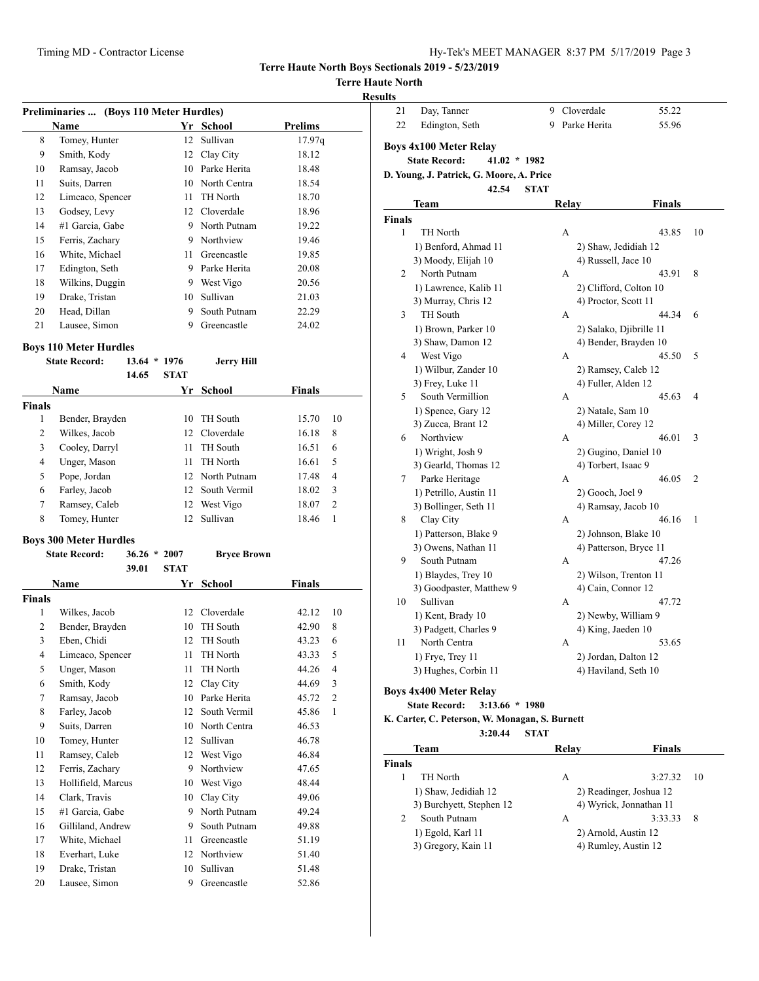## **Terre Haute North**

|  | Results |
|--|---------|
|  |         |

|                    | Preliminaries  (Boys 110 Meter Hurdles) |                         |             |                    |                |                         |
|--------------------|-----------------------------------------|-------------------------|-------------|--------------------|----------------|-------------------------|
|                    | Name                                    |                         |             | Yr School          | <b>Prelims</b> |                         |
| 8                  | Tomey, Hunter                           |                         | 12          | Sullivan           | 17.97q         |                         |
| 9                  | Smith, Kody                             |                         |             | 12 Clay City       | 18.12          |                         |
| 10                 | Ramsay, Jacob                           |                         |             | 10 Parke Herita    | 18.48          |                         |
| 11                 | Suits, Darren                           |                         |             | 10 North Centra    | 18.54          |                         |
| 12                 | Limcaco, Spencer                        |                         | 11          | TH North           | 18.70          |                         |
| 13                 | Godsey, Levy                            |                         |             | 12 Cloverdale      | 18.96          |                         |
| 14                 | #1 Garcia, Gabe                         |                         |             | 9 North Putnam     | 19.22          |                         |
| 15                 | Ferris, Zachary                         |                         |             | 9 Northview        | 19.46          |                         |
| 16                 | White, Michael                          |                         |             | 11 Greencastle     | 19.85          |                         |
| 17                 | Edington, Seth                          |                         |             | 9 Parke Herita     | 20.08          |                         |
| 18                 | Wilkins, Duggin                         |                         |             | 9 West Vigo        | 20.56          |                         |
| 19                 | Drake, Tristan                          |                         |             | 10 Sullivan        | 21.03          |                         |
| 20                 | Head, Dillan                            |                         | 9           | South Putnam       | 22.29          |                         |
| 21                 | Lausee, Simon                           |                         |             | 9 Greencastle      | 24.02          |                         |
|                    | <b>Boys 110 Meter Hurdles</b>           |                         |             |                    |                |                         |
|                    | <b>State Record:</b>                    | $13.64 * 1976$          |             | <b>Jerry Hill</b>  |                |                         |
|                    |                                         | 14.65                   | <b>STAT</b> |                    |                |                         |
|                    | Name                                    |                         | Yr          | School             | Finals         |                         |
| <b>Finals</b><br>1 |                                         |                         | 10          | TH South           |                | 10                      |
|                    | Bender, Brayden                         |                         |             |                    | 15.70          |                         |
| 2                  | Wilkes, Jacob                           |                         |             | 12 Cloverdale      | 16.18          | 8                       |
| 3                  | Cooley, Darryl                          |                         | 11          | TH South           | 16.51          | 6                       |
| 4                  | Unger, Mason                            |                         | 11          | TH North           | 16.61          | 5                       |
| 5                  | Pope, Jordan                            |                         |             | 12 North Putnam    | 17.48          | 4                       |
| 6                  | Farley, Jacob                           |                         |             | 12 South Vermil    | 18.02          | 3                       |
| 7                  | Ramsey, Caleb                           |                         |             | 12 West Vigo       | 18.07          | 2                       |
| 8                  | Tomey, Hunter                           |                         | 12          | Sullivan           | 18.46          | 1                       |
|                    | <b>Boys 300 Meter Hurdles</b>           |                         |             |                    |                |                         |
|                    | <b>State Record:</b>                    | $36.26 * 2007$<br>39.01 | <b>STAT</b> | <b>Bryce Brown</b> |                |                         |
|                    | Name                                    |                         | Yr          | School             | Finals         |                         |
| <b>Finals</b>      |                                         |                         |             |                    |                |                         |
| 1                  | Wilkes, Jacob                           |                         |             | 12 Cloverdale      | 42.12          | 10                      |
| 2                  | Bender, Brayden                         |                         |             | 10 TH South        | 42.90          | 8                       |
| $\mathfrak{Z}$     | Eben, Chidi                             |                         |             | 12 TH South        | 43.23          | $6\overline{6}$         |
| 4                  | Limcaco, Spencer                        |                         | 11          | TH North           | 43.33          | 5                       |
| 5                  | Unger, Mason                            |                         | 11          | TH North           | 44.26          | $\overline{\mathbf{4}}$ |
| 6                  | Smith, Kody                             |                         | 12          | Clay City          | 44.69          | 3                       |
| $\tau$             | Ramsay, Jacob                           |                         | 10          | Parke Herita       | 45.72          | 2                       |
| 8                  | Farley, Jacob                           |                         | 12          | South Vermil       | 45.86          | 1                       |
|                    |                                         |                         |             | North Centra       |                |                         |
| 9                  | Suits, Darren                           |                         | 10          |                    | 46.53          |                         |
| 10                 | Tomey, Hunter                           |                         | 12          | Sullivan           | 46.78          |                         |
| 11                 | Ramsey, Caleb                           |                         | 12          | West Vigo          | 46.84          |                         |
| 12                 | Ferris, Zachary                         |                         | 9           | Northview          | 47.65          |                         |
| 13                 | Hollifield, Marcus                      |                         | 10          | West Vigo          | 48.44          |                         |
| 14                 | Clark, Travis                           |                         | 10          | Clay City          | 49.06          |                         |
| 15                 | #1 Garcia, Gabe                         |                         | 9           | North Putnam       | 49.24          |                         |
| 16                 | Gilliland, Andrew                       |                         | 9           | South Putnam       | 49.88          |                         |
| 17                 | White, Michael                          |                         | 11          | Greencastle        | 51.19          |                         |
| 18                 | Everhart, Luke                          |                         | 12          | Northview          | 51.40          |                         |
|                    |                                         |                         |             |                    |                |                         |

20 Lausee, Simon 9 Greencastle 52.86

| lts    |                                                |             |       |                         |               |    |
|--------|------------------------------------------------|-------------|-------|-------------------------|---------------|----|
| 21     | Day, Tanner                                    | 9           |       | Cloverdale              | 55.22         |    |
| 22     | Edington, Seth                                 | 9           |       | Parke Herita            | 55.96         |    |
|        |                                                |             |       |                         |               |    |
|        | Boys 4x100 Meter Relay                         |             |       |                         |               |    |
|        | <b>State Record:</b><br>$41.02 * 1982$         |             |       |                         |               |    |
|        | D. Young, J. Patrick, G. Moore, A. Price       |             |       |                         |               |    |
|        | 42.54                                          | <b>STAT</b> |       |                         |               |    |
|        | Team                                           |             | Relay |                         | <b>Finals</b> |    |
| Finals |                                                |             |       |                         |               |    |
| 1      | TH North                                       |             | А     |                         | 43.85         | 10 |
|        | 1) Benford, Ahmad 11                           |             |       | 2) Shaw, Jedidiah 12    |               |    |
|        | 3) Moody, Elijah 10                            |             |       | 4) Russell, Jace 10     |               |    |
| 2      | North Putnam                                   |             | А     |                         | 43.91         | 8  |
|        | 1) Lawrence, Kalib 11                          |             |       | 2) Clifford, Colton 10  |               |    |
|        | 3) Murray, Chris 12                            |             |       | 4) Proctor, Scott 11    |               |    |
| 3      | <b>TH</b> South                                |             | А     |                         | 44.34         | 6  |
|        | 1) Brown, Parker 10                            |             |       | 2) Salako, Djibrille 11 |               |    |
|        | 3) Shaw, Damon 12                              |             |       | 4) Bender, Brayden 10   |               |    |
| 4      | West Vigo                                      |             | А     |                         | 45.50         | 5  |
|        | 1) Wilbur, Zander 10                           |             |       | 2) Ramsey, Caleb 12     |               |    |
|        | 3) Frey, Luke 11                               |             |       | 4) Fuller, Alden 12     |               |    |
| 5      | South Vermillion                               |             | A     |                         | 45.63         | 4  |
|        | 1) Spence, Gary 12                             |             |       | 2) Natale, Sam 10       |               |    |
|        | 3) Zucca, Brant 12                             |             |       | 4) Miller, Corey 12     |               |    |
| 6      | Northview                                      |             | А     |                         | 46.01         | 3  |
|        | 1) Wright, Josh 9                              |             |       | 2) Gugino, Daniel 10    |               |    |
|        | 3) Gearld, Thomas 12                           |             |       | 4) Torbert, Isaac 9     |               |    |
| 7      | Parke Heritage                                 |             | A     |                         | 46.05         | 2  |
|        | 1) Petrillo, Austin 11                         |             |       | 2) Gooch, Joel 9        |               |    |
|        | 3) Bollinger, Seth 11                          |             |       | 4) Ramsay, Jacob 10     |               |    |
| 8      | Clay City                                      |             | А     |                         | 46.16         | 1  |
|        | 1) Patterson, Blake 9                          |             |       | 2) Johnson, Blake 10    |               |    |
| 9      | 3) Owens, Nathan 11<br>South Putnam            |             | A     | 4) Patterson, Bryce 11  | 47.26         |    |
|        |                                                |             |       |                         |               |    |
|        | 1) Blaydes, Trey 10                            |             |       | 2) Wilson, Trenton 11   |               |    |
| 10     | 3) Goodpaster, Matthew 9<br>Sullivan           |             | А     | 4) Cain, Connor 12      | 47.72         |    |
|        | 1) Kent, Brady 10                              |             |       | 2) Newby, William 9     |               |    |
|        | 3) Padgett, Charles 9                          |             |       | 4) King, Jaeden 10      |               |    |
| 11     | North Centra                                   |             | A     |                         | 53.65         |    |
|        | $1)$ Frye, Trey $11$                           |             |       | 2) Jordan, Dalton 12    |               |    |
|        | 3) Hughes, Corbin 11                           |             |       | 4) Haviland, Seth 10    |               |    |
|        |                                                |             |       |                         |               |    |
|        | Boys 4x400 Meter Relay                         |             |       |                         |               |    |
|        | <b>State Record:</b><br>3:13.66 * 1980         |             |       |                         |               |    |
|        | K. Carter. C. Peterson. W. Monagan. S. Burnett |             |       |                         |               |    |

#### **3:20.44 STAT Team Relay Finals Finals** 1 TH North A 3:27.32 10 1) Shaw, Jedidiah 12 2) Readinger, Joshua 12 3) Burchyett, Stephen 12 4) Wyrick, Jonnathan 11 2 South Putnam A 3:33.33 8 1) Egold, Karl 11 2) Arnold, Austin 12 3) Gregory, Kain 11 4) Rumley, Austin 12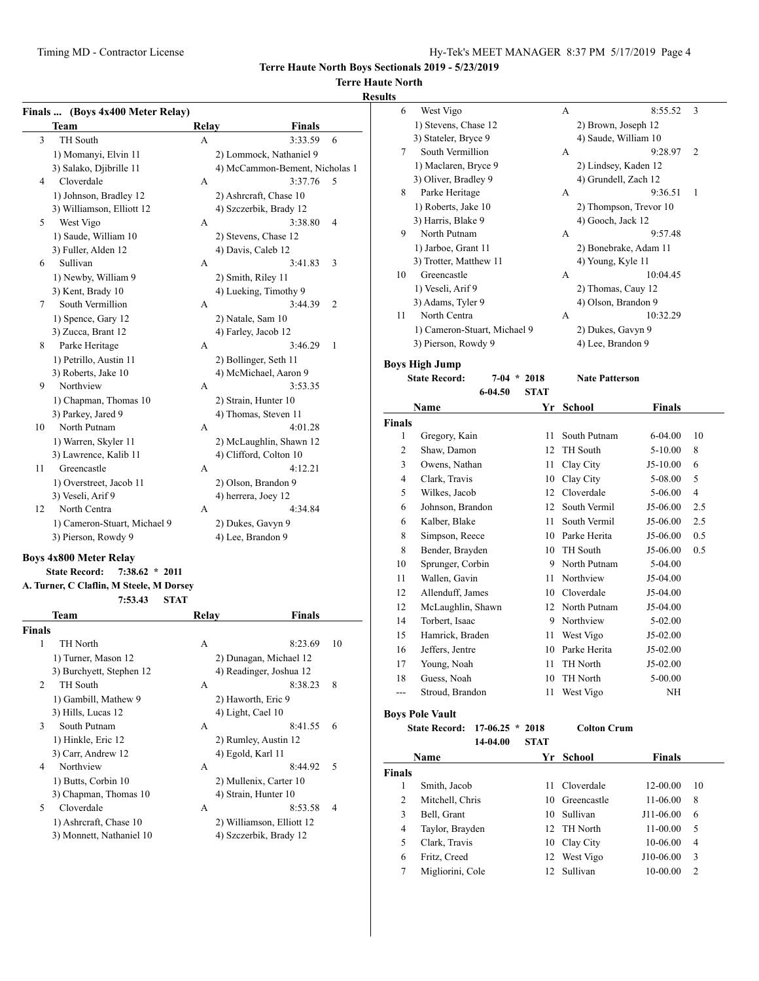# **Terre Haute North**

### **Results**

|               | Finals  (Boys 4x400 Meter Relay)         |       |                                |    |
|---------------|------------------------------------------|-------|--------------------------------|----|
|               | Team                                     | Relay | Finals                         |    |
| 3             | <b>TH</b> South                          | A     | 3:33.59                        | 6  |
|               | 1) Momanyi, Elvin 11                     |       | 2) Lommock, Nathaniel 9        |    |
|               | 3) Salako, Djibrille 11                  |       | 4) McCammon-Bement, Nicholas 1 |    |
| 4             | Cloverdale                               | A     | 3:37.76                        | 5  |
|               | 1) Johnson, Bradley 12                   |       | 2) Ashrcraft, Chase 10         |    |
|               | 3) Williamson, Elliott 12                |       | 4) Szczerbik, Brady 12         |    |
| 5             | West Vigo                                | A     | 3:38.80                        | 4  |
|               |                                          |       |                                |    |
|               | 1) Saude, William 10                     |       | 2) Stevens, Chase 12           |    |
|               | 3) Fuller, Alden 12                      |       | 4) Davis, Caleb 12             |    |
| 6             | Sullivan                                 | A     | 3:41.83                        | 3  |
|               | 1) Newby, William 9                      |       | 2) Smith, Riley 11             |    |
|               | 3) Kent, Brady 10                        |       | 4) Lueking, Timothy 9          |    |
| 7             | South Vermillion                         | A     | 3:44.39                        | 2  |
|               | 1) Spence, Gary 12                       |       | 2) Natale, Sam 10              |    |
|               | 3) Zucca, Brant 12                       |       | 4) Farley, Jacob 12            |    |
| 8             | Parke Heritage                           | A     | 3:46.29                        | 1  |
|               | 1) Petrillo, Austin 11                   |       | 2) Bollinger, Seth 11          |    |
|               | 3) Roberts, Jake 10                      |       | 4) McMichael, Aaron 9          |    |
| 9             | Northview                                | A     | 3:53.35                        |    |
|               | 1) Chapman, Thomas 10                    |       | 2) Strain, Hunter 10           |    |
|               | 3) Parkey, Jared 9                       |       | 4) Thomas, Steven 11           |    |
| 10            | North Putnam                             | A     | 4:01.28                        |    |
|               | 1) Warren, Skyler 11                     |       | 2) McLaughlin, Shawn 12        |    |
|               | 3) Lawrence, Kalib 11                    |       | 4) Clifford, Colton 10         |    |
| 11            | Greencastle                              | A     | 4:12.21                        |    |
|               | 1) Overstreet, Jacob 11                  |       | 2) Olson, Brandon 9            |    |
|               | 3) Veseli, Arif 9                        |       | 4) herrera, Joey 12            |    |
| 12            | North Centra                             | A     | 4:34.84                        |    |
|               | 1) Cameron-Stuart, Michael 9             |       | 2) Dukes, Gavyn 9              |    |
|               | 3) Pierson, Rowdy 9                      |       | 4) Lee, Brandon 9              |    |
|               |                                          |       |                                |    |
|               | <b>Boys 4x800 Meter Relay</b>            |       |                                |    |
|               | <b>State Record:</b><br>$7:38.62 * 2011$ |       |                                |    |
|               | A. Turner, C Claflin, M Steele, M Dorsey |       |                                |    |
|               | 7:53.43<br><b>STAT</b>                   |       |                                |    |
|               | Team                                     | Relay | <b>Finals</b>                  |    |
| <b>Finals</b> |                                          |       |                                |    |
| 1             | TH North                                 | А     | 8:23.69                        | 10 |
|               | 1) Turner, Mason 12                      |       | 2) Dunagan, Michael 12         |    |
|               | 3) Burchyett, Stephen 12                 |       | 4) Readinger, Joshua 12        |    |
| 2             | TH South                                 | A     | 8:38.23                        | 8  |
|               | 1) Gambill, Mathew 9                     |       | 2) Haworth, Eric 9             |    |
|               | 3) Hills, Lucas 12                       |       | 4) Light, Cael 10              |    |
| 3             | South Putnam                             | A     | 8:41.55                        | 6  |
|               | 1) Hinkle, Eric 12                       |       | 2) Rumley, Austin 12           |    |
|               | 3) Carr, Andrew 12                       |       | 4) Egold, Karl 11              |    |
| 4             | Northview                                | A     | 8:44.92                        | 5  |
|               | 1) Butts, Corbin 10                      |       | 2) Mullenix, Carter 10         |    |
|               | 3) Chapman, Thomas 10                    |       | 4) Strain, Hunter 10           |    |
| 5             | Cloverdale                               | A     | 8:53.58                        | 4  |
|               | 1) Ashrcraft, Chase 10                   |       | 2) Williamson, Elliott 12      |    |
|               | 3) Monnett, Nathaniel 10                 |       | 4) Szczerbik, Brady 12         |    |
|               |                                          |       |                                |    |

| ults          |                                                                |             |                        |               |     |
|---------------|----------------------------------------------------------------|-------------|------------------------|---------------|-----|
| 6             | West Vigo                                                      |             | A                      | 8:55.52       | 3   |
|               | 1) Stevens, Chase 12                                           |             | 2) Brown, Joseph 12    |               |     |
|               | 3) Stateler, Bryce 9                                           |             | 4) Saude, William 10   |               |     |
| 7             | South Vermillion                                               |             | A                      | 9:28.97       | 2   |
|               | 1) Maclaren, Bryce 9                                           |             | 2) Lindsey, Kaden 12   |               |     |
|               | 3) Oliver, Bradley 9                                           |             | 4) Grundell, Zach 12   |               |     |
| 8             | Parke Heritage                                                 |             | A                      | 9:36.51       | 1   |
|               | 1) Roberts, Jake 10                                            |             | 2) Thompson, Trevor 10 |               |     |
|               | 3) Harris, Blake 9                                             |             | 4) Gooch, Jack 12      |               |     |
| 9             | North Putnam                                                   |             | A                      | 9:57.48       |     |
|               | 1) Jarboe, Grant 11                                            |             | 2) Bonebrake, Adam 11  |               |     |
|               | 3) Trotter, Matthew 11                                         |             | 4) Young, Kyle 11      |               |     |
| 10            | Greencastle                                                    |             | A                      | 10:04:45      |     |
|               | 1) Veseli, Arif 9                                              |             | 2) Thomas, Cauy 12     |               |     |
|               | 3) Adams, Tyler 9                                              |             | 4) Olson, Brandon 9    |               |     |
| 11            | North Centra                                                   |             | A                      | 10:32.29      |     |
|               | 1) Cameron-Stuart, Michael 9                                   |             | 2) Dukes, Gavyn 9      |               |     |
|               | 3) Pierson, Rowdy 9<br>4) Lee, Brandon 9                       |             |                        |               |     |
|               |                                                                |             |                        |               |     |
|               |                                                                |             |                        |               |     |
|               | <b>Boys High Jump</b><br><b>State Record:</b><br>$7-04$ * 2018 |             | <b>Nate Patterson</b>  |               |     |
|               | 6-04.50                                                        | <b>STAT</b> |                        |               |     |
|               | Name                                                           | Yr          | <b>School</b>          | <b>Finals</b> |     |
| <b>Finals</b> |                                                                |             |                        |               |     |
| 1             | Gregory, Kain                                                  | 11          | South Putnam           | 6-04.00       | 10  |
| 2             | Shaw, Damon                                                    | 12          | TH South               | $5 - 10.00$   | 8   |
| 3             | Owens, Nathan                                                  | 11          | Clay City              | J5-10.00      | 6   |
| 4             | Clark, Travis                                                  |             | 10 Clay City           | 5-08.00       | 5   |
| 5             | Wilkes, Jacob                                                  |             | 12 Cloverdale          | 5-06.00       | 4   |
| 6             | Johnson, Brandon                                               | 12          | South Vermil           | J5-06.00      | 2.5 |
| 6             | Kalber, Blake                                                  | 11          | South Vermil           | J5-06.00      | 2.5 |
| 8             | Simpson, Reece                                                 | 10          | Parke Herita           | J5-06.00      | 0.5 |
| 8             | Bender, Brayden                                                | 10          | <b>TH</b> South        | J5-06.00      | 0.5 |
| 10            |                                                                | 9           | North Putnam           | 5-04.00       |     |
| 11            | Sprunger, Corbin<br>Wallen, Gavin                              | 11          | Northview              | J5-04.00      |     |
| 12            | Allenduff, James                                               |             | 10 Cloverdale          | J5-04.00      |     |
| 12            | McLaughlin, Shawn                                              | 12          | North Putnam           | J5-04.00      |     |
| 14            | Torbert, Isaac                                                 | 9           | Northview              | 5-02.00       |     |

|       | State Record: 17-06.25 * 2018 |  | <b>Colton Crum</b> |             |
|-------|-------------------------------|--|--------------------|-------------|
|       | <b>Boys Pole Vault</b>        |  |                    |             |
| $---$ | Stroud, Brandon               |  | 11 West Vigo       | NΗ          |
| 18    | Guess, Noah                   |  | 10 TH North        | $5 - 00.00$ |
|       | Young, Noah                   |  | 11 TH North        | $J5-02.00$  |

|      | 14-04.00 | STAT      |               |
|------|----------|-----------|---------------|
| Name |          | Yr School | <b>Finals</b> |

16 Jeffers, Jentre 10 Parke Herita J5-02.00

J5-02.00  $5 - 00.00$ 

| <b>Finals</b> |                  |    |              |              |               |  |
|---------------|------------------|----|--------------|--------------|---------------|--|
|               | Smith, Jacob     | 11 | Cloverdale   | 12-00.00     | 10            |  |
| 2             | Mitchell, Chris  | 10 | Greencastle  | 11-06.00     | 8             |  |
| 3             | Bell, Grant      | 10 | Sullivan     | J11-06.00    | 6             |  |
| 4             | Taylor, Brayden  |    | 12 TH North  | $11 - 00.00$ | 5             |  |
| 5             | Clark, Travis    |    | 10 Clay City | 10-06.00     | 4             |  |
| 6             | Fritz, Creed     |    | 12 West Vigo | J10-06.00    | 3             |  |
|               | Migliorini, Cole | 12 | Sullivan     | 10-00.00     | $\mathcal{D}$ |  |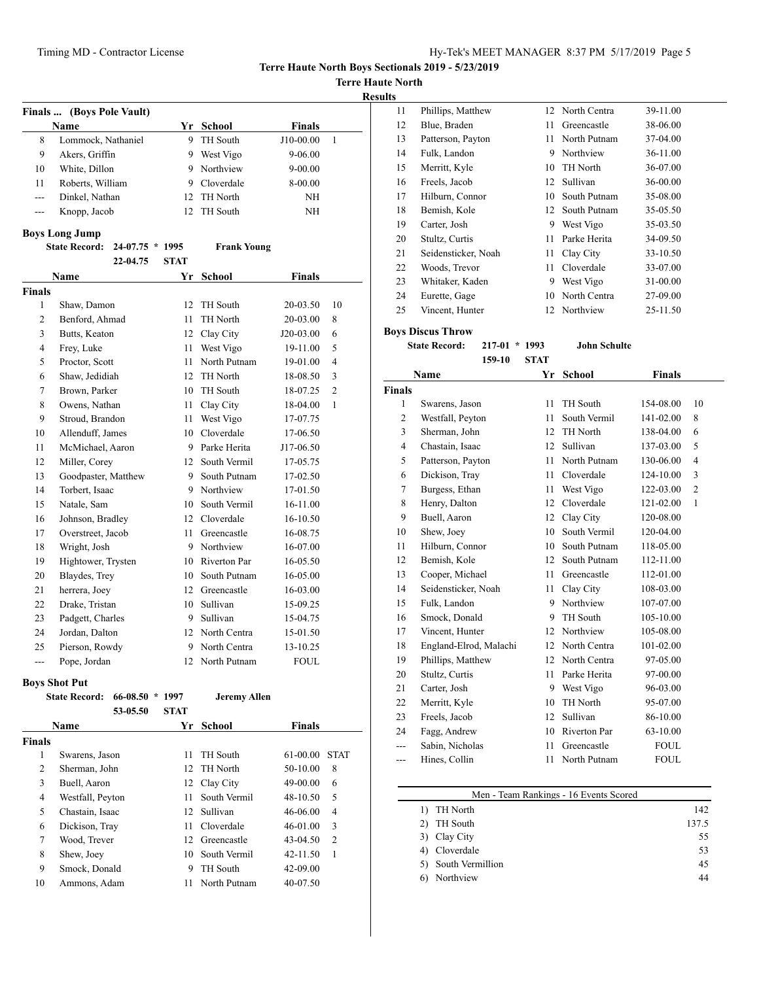**Terre Haute North**

| <b>Results</b> |
|----------------|
|----------------|

|               | Finals  (Boys Pole Vault)               |             |                    |               |                |
|---------------|-----------------------------------------|-------------|--------------------|---------------|----------------|
|               | <b>Name</b>                             |             | Yr School          | <b>Finals</b> |                |
| 8             | Lommock, Nathaniel                      | 9           | TH South           | J10-00.00     | 1              |
| 9             | Akers, Griffin                          |             | 9 West Vigo        | 9-06.00       |                |
| 10            | White, Dillon                           |             | 9 Northview        | $9 - 00.00$   |                |
| 11            | Roberts, William                        |             | 9 Cloverdale       | 8-00.00       |                |
| ---           | Dinkel, Nathan                          |             | 12 TH North        | NH            |                |
| ---           | Knopp, Jacob                            | 12          | TH South           | NΗ            |                |
|               | <b>Boys Long Jump</b>                   |             |                    |               |                |
|               | <b>State Record:</b><br>24-07.75 * 1995 |             | <b>Frank Young</b> |               |                |
|               | 22-04.75                                | <b>STAT</b> |                    |               |                |
|               | Name                                    | Yr          | <b>School</b>      | Finals        |                |
| <b>Finals</b> |                                         |             |                    |               |                |
| 1             | Shaw, Damon                             | 12          | TH South           | 20-03.50      | 10             |
| 2             | Benford, Ahmad                          | 11          | TH North           | 20-03.00      | 8              |
| 3             | Butts, Keaton                           |             | 12 Clay City       | J20-03.00     | 6              |
| 4             | Frey, Luke                              | 11          | West Vigo          | 19-11.00      | 5              |
| 5             | Proctor, Scott                          | 11          | North Putnam       | 19-01.00      | 4              |
| 6             | Shaw, Jedidiah                          | 12          | TH North           | 18-08.50      | 3              |
| 7             | Brown, Parker                           |             | 10 TH South        | 18-07.25      | $\overline{c}$ |
| 8             | Owens, Nathan                           | 11 -        | Clay City          | 18-04.00      | 1              |
| 9             | Stroud, Brandon                         |             | 11 West Vigo       | 17-07.75      |                |
| 10            | Allenduff, James                        |             | 10 Cloverdale      | 17-06.50      |                |
| 11            | McMichael, Aaron                        |             | 9 Parke Herita     | J17-06.50     |                |
| 12            | Miller, Corey                           |             | 12 South Vermil    | 17-05.75      |                |
| 13            | Goodpaster, Matthew                     | 9           | South Putnam       | 17-02.50      |                |
| 14            | Torbert, Isaac                          |             | 9 Northview        | 17-01.50      |                |
| 15            | Natale, Sam                             |             | 10 South Vermil    | 16-11.00      |                |
| 16            | Johnson, Bradley                        |             | 12 Cloverdale      | 16-10.50      |                |
| 17            | Overstreet, Jacob                       | 11          | Greencastle        | 16-08.75      |                |
| 18            | Wright, Josh                            |             | 9 Northview        | 16-07.00      |                |
| 19            | Hightower, Trysten                      |             | 10 Riverton Par    | 16-05.50      |                |
| 20            | Blaydes, Trey                           |             | 10 South Putnam    | 16-05.00      |                |
| 21            | herrera, Joey                           |             | 12 Greencastle     | 16-03.00      |                |
| 22            | Drake, Tristan                          |             | 10 Sullivan        | 15-09.25      |                |
| 23            | Padgett, Charles                        | 9.          | Sullivan           | 15-04.75      |                |
| 24            | Jordan, Dalton                          |             | 12 North Centra    | 15-01.50      |                |
| 25            | Pierson, Rowdy                          | 9           | North Centra       | 13-10.25      |                |
| ---           | Pope, Jordan                            | 12          | North Putnam       | <b>FOUL</b>   |                |

## **Boys Shot Put**

|        | 66-08.50<br><b>State Record:</b> | 1997<br>$\ast$ | <b>Jeremy Allen</b> |               |                |
|--------|----------------------------------|----------------|---------------------|---------------|----------------|
|        | 53-05.50                         | <b>STAT</b>    |                     |               |                |
|        | <b>Name</b>                      | Yr             | <b>School</b>       | <b>Finals</b> |                |
| Finals |                                  |                |                     |               |                |
| 1      | Swarens, Jason                   | 11             | <b>TH</b> South     | $61-00.00$    | <b>STAT</b>    |
| 2      | Sherman, John                    | 12             | TH North            | 50-10.00      | 8              |
| 3      | Buell, Aaron                     | 12             | Clay City           | 49-00.00      | 6              |
| 4      | Westfall, Peyton                 | 11             | South Vermil        | 48-10.50      | 5              |
| 5      | Chastain, Isaac                  | 12             | Sullivan            | 46-06.00      | $\overline{4}$ |
| 6      | Dickison, Tray                   | 11             | Cloverdale          | 46-01.00      | 3              |
| 7      | Wood, Trever                     | 12             | Greencastle         | $43 - 04.50$  | $\overline{2}$ |
| 8      | Shew, Joey                       | 10             | South Vermil        | $42 - 11.50$  | 1              |
| 9      | Smock, Donald                    | 9              | TH South            | 42-09.00      |                |
| 10     | Ammons, Adam                     | 11             | North Putnam        | 40-07.50      |                |

| ت  |                     |    |              |          |
|----|---------------------|----|--------------|----------|
| 11 | Phillips, Matthew   | 12 | North Centra | 39-11.00 |
| 12 | Blue, Braden        | 11 | Greencastle  | 38-06.00 |
| 13 | Patterson, Payton   | 11 | North Putnam | 37-04.00 |
| 14 | Fulk, Landon        | 9  | Northview    | 36-11.00 |
| 15 | Merritt, Kyle       | 10 | TH North     | 36-07.00 |
| 16 | Freels, Jacob       | 12 | Sullivan     | 36-00.00 |
| 17 | Hilburn, Connor     | 10 | South Putnam | 35-08.00 |
| 18 | Bemish, Kole        | 12 | South Putnam | 35-05.50 |
| 19 | Carter, Josh        | 9  | West Vigo    | 35-03.50 |
| 20 | Stultz, Curtis      | 11 | Parke Herita | 34-09.50 |
| 21 | Seidensticker, Noah | 11 | Clay City    | 33-10.50 |
| 22 | Woods, Trevor       | 11 | Cloverdale   | 33-07.00 |
| 23 | Whitaker, Kaden     | 9  | West Vigo    | 31-00.00 |
| 24 | Eurette, Gage       | 10 | North Centra | 27-09.00 |
| 25 | Vincent, Hunter     | 12 | Northview    | 25-11.50 |

**Boys Discus Throw**

#### **State Record: 217-01 \* 1993 John Schulte 159-10 STAT**

|                | Name                   | Yr | <b>School</b>       | <b>Finals</b> |                |
|----------------|------------------------|----|---------------------|---------------|----------------|
| <b>Finals</b>  |                        |    |                     |               |                |
| 1              | Swarens, Jason         | 11 | <b>TH</b> South     | 154-08.00     | 10             |
| $\overline{c}$ | Westfall, Peyton       | 11 | South Vermil        | 141-02.00     | 8              |
| 3              | Sherman, John          | 12 | TH North            | 138-04.00     | 6              |
| $\overline{4}$ | Chastain, Isaac        | 12 | Sullivan            | 137-03.00     | 5              |
| 5              | Patterson, Payton      | 11 | North Putnam        | 130-06.00     | $\overline{4}$ |
| 6              | Dickison, Tray         | 11 | Cloverdale          | 124-10.00     | 3              |
| 7              | Burgess, Ethan         | 11 | West Vigo           | 122-03.00     | $\mathfrak{2}$ |
| 8              | Henry, Dalton          | 12 | Cloverdale          | 121-02.00     | 1              |
| 9              | Buell, Aaron           | 12 | Clay City           | 120-08.00     |                |
| 10             | Shew, Joey             | 10 | South Vermil        | 120-04.00     |                |
| 11             | Hilburn, Connor        | 10 | South Putnam        | 118-05.00     |                |
| 12             | Bemish, Kole           | 12 | South Putnam        | 112-11.00     |                |
| 13             | Cooper, Michael        | 11 | Greencastle         | 112-01.00     |                |
| 14             | Seidensticker, Noah    | 11 | Clay City           | 108-03.00     |                |
| 15             | Fulk, Landon           |    | 9 Northview         | 107-07.00     |                |
| 16             | Smock, Donald          | 9  | TH South            | 105-10.00     |                |
| 17             | Vincent, Hunter        | 12 | Northview           | 105-08.00     |                |
| 18             | England-Elrod, Malachi | 12 | North Centra        | 101-02.00     |                |
| 19             | Phillips, Matthew      | 12 | North Centra        | 97-05.00      |                |
| 20             | Stultz, Curtis         | 11 | Parke Herita        | 97-00.00      |                |
| 21             | Carter, Josh           | 9  | West Vigo           | 96-03.00      |                |
| 22             | Merritt, Kyle          | 10 | TH North            | 95-07.00      |                |
| 23             | Freels, Jacob          | 12 | Sullivan            | 86-10.00      |                |
| 24             | Fagg, Andrew           | 10 | <b>Riverton Par</b> | 63-10.00      |                |
| ---            | Sabin, Nicholas        | 11 | Greencastle         | <b>FOUL</b>   |                |
| ---            | Hines, Collin          | 11 | North Putnam        | <b>FOUL</b>   |                |
|                |                        |    |                     |               |                |

| Men - Team Rankings - 16 Events Scored |       |
|----------------------------------------|-------|
| TH North                               | 142   |
| TH South                               | 137.5 |
| Clay City                              | 55    |
| Cloverdale                             | 53    |
| South Vermillion                       | 45    |
| Northview                              | 44    |
|                                        |       |